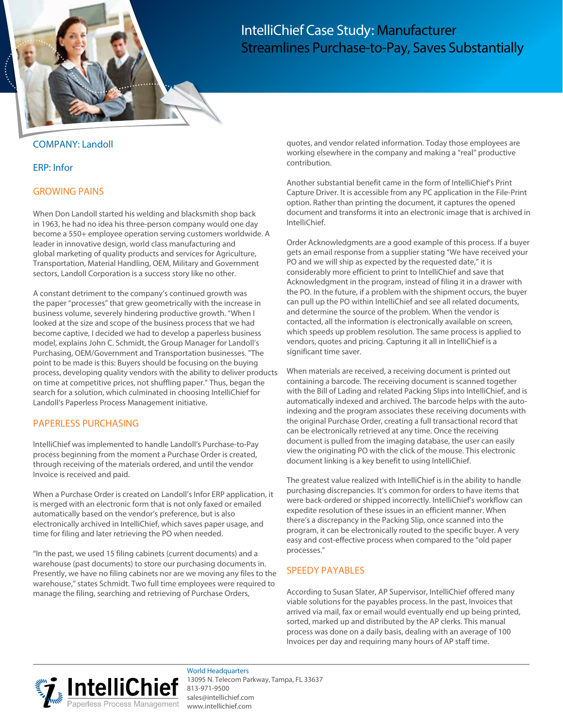

# IntelliChief Case Study: Manufacturer Streamlines Purchase-to-Pay, Saves Substantially

#### COMPANY: Landoll

#### ERP: Infor

#### GROWING PAINS

When Don Landoll started his welding and blacksmith shop back in 1963, he had no idea his three-person company would one day become a 550+ employee operation serving customers worldwide. A leader in innovative design, world class manufacturing and global marketing of quality products and services for Agriculture, Transportation, Material Handling, OEM, Military and Government sectors, Landoll Corporation is a success story like no other.

A constant detriment to the company's continued growth was the paper "processes" that grew geometrically with the increase in business volume, severely hindering productive growth. "When I looked at the size and scope of the business process that we had become captive, I decided we had to develop a paperless business model, explains John C. Schmidt, the Group Manager for Landoll's Purchasing, OEM/Government and Transportation businesses. "The point to be made is this: Buyers should be focusing on the buying process, developing quality vendors with the ability to deliver products on time at competitive prices, not shuffling paper." Thus, began the search for a solution, which culminated in choosing IntelliChief for Landoll's Paperless Process Management initiative.

#### PAPERLESS PURCHASING

IntelliChief was implemented to handle Landoll's Purchase-to-Pay process beginning from the moment a Purchase Order is created, through receiving of the materials ordered, and until the vendor Invoice is received and paid.

When a Purchase Order is created on Landoll's Infor ERP application, it is merged with an electronic form that is not only faxed or emailed automatically based on the vendor's preference, but is also electronically archived in IntelliChief, which saves paper usage, and time for filing and later retrieving the PO when needed.

"In the past, we used 15 filing cabinets (current documents) and a warehouse (past documents) to store our purchasing documents in. Presently, we have no filing cabinets nor are we moving any files to the warehouse," states Schmidt. Two full time employees were required to manage the filing, searching and retrieving of Purchase Orders,

quotes, and vendor related information. Today those employees are working elsewhere in the company and making a "real" productive contribution.

Another substantial benefit came in the form of IntelliChief's Print Capture Driver. It is accessible from any PC application in the File-Print option. Rather than printing the document, it captures the opened document and transforms it into an electronic image that is archived in IntelliChief.

Order Acknowledgments are a good example of this process. If a buyer gets an email response from a supplier stating "We have received your PO and we will ship as expected by the requested date," it is considerably more efficient to print to IntelliChief and save that Acknowledgment in the program, instead of filing it in a drawer with the PO. In the future, if a problem with the shipment occurs, the buyer can pull up the PO within IntelliChief and see all related documents, and determine the source of the problem. When the vendor is contacted, all the information is electronically available on screen, which speeds up problem resolution. The same process is applied to vendors, quotes and pricing. Capturing it all in IntelliChief is a significant time saver.

When materials are received, a receiving document is printed out containing a barcode. The receiving document is scanned together with the Bill of Lading and related Packing Slips into IntelliChief, and is automatically indexed and archived. The barcode helps with the autoindexing and the program associates these receiving documents with the original Purchase Order, creating a full transactional record that can be electronically retrieved at any time. Once the receiving document is pulled from the imaging database, the user can easily view the originating PO with the click of the mouse. This electronic document linking is a key benefit to using IntelliChief.

The greatest value realized with IntelliChief is in the ability to handle purchasing discrepancies. It's common for orders to have items that were back-ordered or shipped incorrectly. IntelliChief's workflow can expedite resolution of these issues in an efficient manner. When there's a discrepancy in the Packing Slip, once scanned into the program, it can be electronically routed to the specific buyer. A very easy and cost-effective process when compared to the "old paper processes."

### SPEEDY PAYABLES

According to Susan Slater, AP Supervisor, IntelliChief offered many viable solutions for the payables process. In the past, Invoices that arrived via mail, fax or email would eventually end up being printed, sorted, marked up and distributed by the AP clerks. This manual process was done on a daily basis, dealing with an average of 100 Invoices per day and requiring many hours of AP staff time.



World Headquarters 13095 N. Telecom Parkway, Tampa, FL 33637 813-971-9500 [sales@intellichief.com](mailto:sales@intellichief.com) [www.intelli](http://www.intellichief.com)chief.com